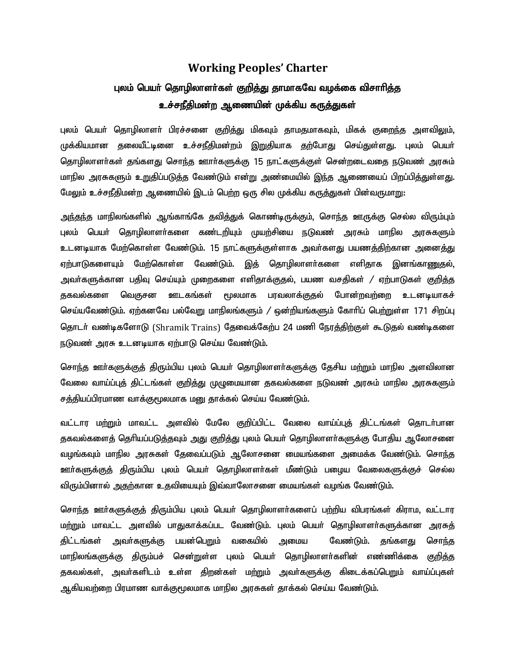## **Working Peoples' Charter** புலம் பெயர் தொழிலாளர்கள் குறித்து தாமாகவே வழக்கை விசாரித்த உச்சநீதிமன்ற ஆணையின் முக்கிய கருத்துகள்

புலம் பெயர் தொழிலாளர் பிரச்சனை குறித்து மிகவும் தாமதமாகவும், மிகக் குறைந்த அளவிலும், முக்கியமான தலையீட்டினை உச்சநீதிமன்றம் இறுதியாக தற்போது செய்துள்ளது. புலம் பெயர் தொழிலாளர்கள் தங்களது சொந்த ஊார்களுக்கு 15 நாட்களுக்குள் சென்றடைவதை நடுவண் அரசும் மாநில அரசுகளும் உறுதிப்படுத்த வேண்டும் என்று அண்மையில் இந்த ஆணையைப் பிறப்பித்துள்ள<u>த</u>ு. மேலும் உச்சநீதிமன்ற ஆணையில் இடம் பெற்ற ஒரு சில முக்கிய கருத்துகள் பின்வருமாறு:

அந்தந்த மாநிலங்களில் ஆங்காங்கே தவித்துக் கொண்டிருக்கும், சொந்த ஊருக்கு செல்ல விரும்பும் புலம் பெயர் தொழிலாளர்களை கண்டறியும் முயற்சியை நடுவண் அரசும் மாநில அரசுகளும் உடனடியாக மேற்கொள்ள வேண்டும். 15 நாட்களுக்குள்ளாக அவா்களது பயணத்திற்கான அனைத்து ஏற்பாடுகளையும் மேற்கொள்ள வேண்டும். இத் தொழிலாளர்களை எளிதாக இனங்கா<u>ணு</u>தல், அவா்களுக்கான பதிவு செய்யும் முறைகளை எளிதாக்குதல், பயண வசதிகள் */* ஏற்பாடுகள் கு<u>றித்</u>த தகவல்களை வெகுசன ஊடகங்கள் மூலமாக பரவலாக்குதல் போன்றவற்றை உடனடியாகச் செய்யவேண்டும். ஏற்கனவே பல்வேறு மாநிலங்களும் / ஒன்றியங்களும் கோரிப் பெற்றுள்ள 171 சிறப்பு தொடர் வண்டிகளோடு (Shramik Trains) தேவைக்கேற்ப 24 மணி நேரத்திற்குள் கூடுதல் வண்டிகளை நடுவண் அரசு உடனடியாக ஏற்பாடு செய்ய வேண்டும்.

சொந்த ஊர்களுக்குக் கிரும்பிய புலம் பெயர் தொழிலாளர்களுக்கு தேசிய மற்றும் மாநில அளவிலான வேலை வாய்ப்புத் திட்டங்கள் கு<u>றித்து</u> முழுமையான தகவல்களை நடுவண் அரசும் மாநில அரசுகளும் சத்தியப்பிரமாண வாக்குமூலமாக மனு தாக்கல் செய்ய வேண்டும்.

வட்டார மற்றும் மாவட்ட அளவில் மேலே குறிப்பிட்ட வேலை வாய்ப்புத் திட்டங்கள் தொடர்பான தகவல்களைத் தொியப்படுத்தவும் அது குறித்து புலம் பெயா் தொழிலாளா்களுக்கு போதிய ஆலோசனை வழங்கவும் மாநில அரசுகள் தேவைப்படும் ஆலோசனை மையங்களை அமைக்க வேண்டும். சொந்த ஊர்களுக்குத் திரும்பிய புலம் பெயர் தொழிலாளர்கள் மீண்டும் பழைய வேலைகளுக்குச் செல்ல விரும்பினால் ,அதற்கான உதவியையும் இவ்வாலோசனை மையங்கள் வழங்க வேண்டும்.

சொந்த ஊர்களுக்குத் திரும்பிய புலம் பெயர் தொழிலாளர்களைப் பற்றிய விபரங்கள் கிராம, வட்டார மற்றும் மாவட்ட அளவில் பாதுகாக்கப்பட வேண்டும். புலம் பெயர் தொழிலாளர்களுக்கான அரசுக் திட்டங்கள் அவர்களுக்கு பயன்பெறும் வகையில் அமைய வேண்டும். தங்களது சொந்த மாநிலங்களுக்கு திரும்பச் சென்றுள்ள புலம் பெயர் தொழிலாளர்களின் எண்ணிக்கை குறித்த தகவல்கள், அவர்களிடம் உள்ள திறன்கள் மற்றும் அவர்களுக்கு கிடைக்கப்பெறும் வாய்ப்புகள் ஆகியவற்றை பிரமாண வாக்குமூலமாக மாநில அரசுகள் தாக்கல் செய்ய வேண்டும்.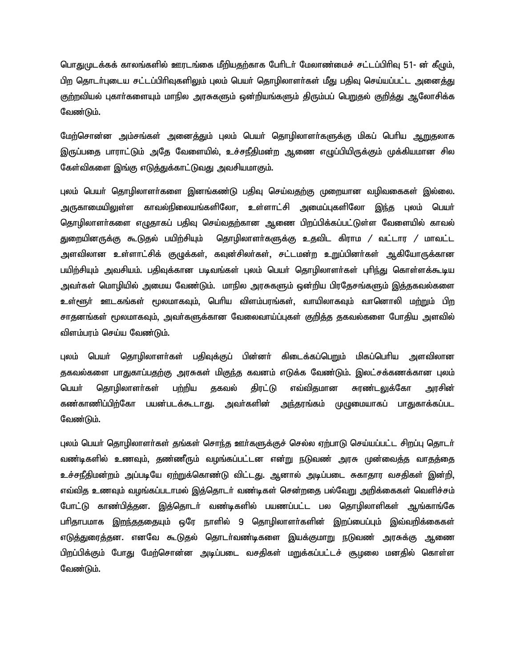பொதுமுடக்கக் காலங்களில் ஊரடங்கை மீறியதற்காக பேரிடர் மேலாண்மைச் சட்டப்பிரிவு 51- ன் கீழும், பிற தொடர்புடைய சட்டப்பிரிவுகளிலும் புலம் பெயர் தொழிலாளர்கள் மீது பதிவு செய்யப்பட்ட அனைத்து குற்றவியல் புகாா்களையும் மாநில அரசுகளும் ஒன்றியங்களும் திரும்பப் பெ<u>று</u>தல் குறித்து ஆலோசிக்க வேண்டும்.

மேற்சொன்ன அம்சங்கள் அனைக்தும் புலம் பெயர் தொழிலாளர்களுக்கு மிகப் பெரிய ஆறுதலாக இருப்பதை பாராட்டும் அதே வேளையில், உச்சநீதிமன்ற ஆணை எழுப்பியிருக்கும் முக்கியமான சில கேள்விகளை இங்கு எடுத்துக்காட்டுவது அவசியமாகும்.

புலம் பெயா் தொழிலாளா்களை இனங்கண்டு பதிவு செய்வதற்கு முறையான வழிவகைகள் இல்லை. அருகாமையிலுள்ள காவல்நிலையங்களிலோ, உள்ளாட்சி அமைப்புகளிலோ <u>இந்</u>த புலம் பெயா் தொழிலாளா்களை எழுதாகப் பதிவு செய்வதற்கான ஆணை பிறப்பிக்கப்பட்டுள்ள வேளையில் காவல் துறையினருக்கு கூடுதல் பயிற்சியும் தொழிலாளர்களுக்கு உதவிட கிராம / வட்டார / மாவட்ட அளவிலான உள்ளாட்சிக் குழுக்கள், கவுன்சிலா்கள், சட்டமன்ற உறுப்பினா்கள் ஆகியோருக்கான பயிற்சியும் அவசியம். பதிவுக்கான படிவங்கள் புலம் பெயர் தொழிலாளர்கள் புரிந்து கொள்ளக்கூடிய அவா்கள் மொழியில் அமைய வேண்டும். மாநில அரசுகளும் ஒன்றிய பிரதேசங்களும் இத்தகவல்களை உள்ளூர் ஊடகங்கள் மூலமாகவும், பெரிய விளம்பரங்கள், வாயிலாகவும் வானொலி ம<u>ற்று</u>ம் பிற சாதனங்கள் மூலமாகவும், அவா்களுக்கான வேலைவாய்ப்புகள் கு<u>றித்த</u> தகவல்களை போதிய அளவில் விளம்பரம் செய்ய வேண்டும்.

புலம் பெயா் தொழிலாளா்கள் பதிவுக்குப் பின்னா் கிடைக்கப்பெறும் மிகப்பொிய அளவிலான தகவல்களை பாதுகாப்பதற்கு அரசுகள் மிகுந்த கவனம் எடுக்க வேண்டும். இலட்சக்கணக்கான புலம் பெயர் தொழிலாளர்கள் ப<u>ற்றி</u>ய தகவல் திரட்டு எவ்விதமான சுரண்டலுக்கோ அரசின் கண்காணிப்பிற்கோ பயன்படக்கூடாது. அவர்களின் அந்தரங்கம் முழுமையாகப் பாதுகாக்கப்பட வேண்டும்.

புலம் பெயா் தொழிலாளா்கள் தங்கள் சொந்த ஊா்களுக்குச் செல்ல ஏற்பாடு செய்யப்பட்ட சிறப்பு தொடா் வண்டிகளில் உணவும், தண்ணீரும் வழங்கப்பட்டன என்று நடுவண் அரசு முன்வைத்த வாதத்தை உச்சநீதிமன்றம் அப்படியே ஏற்றுக்கொண்டு விட்டது. ஆனால் அடிப்படை சுகாதார வசதிகள் இன்றி, எவ்வித உணவும் வழங்கப்படாமல் இத்தொடர் வண்டிகள் சென்றதை பல்வேறு அறிக்கைகள் வெளிச்சம் போட்டு காண்பிக்கன. இக்கொடர் வண்டிகளில் பயணப்பட்ட பல கொழிலாளிகள் ஆங்காங்கே பாிதாபமாக இறந்தததையும் ஒரே நாளில் 9 தொழிலாளா்களின் இறப்பைப்பும் இவ்வறிக்கைகள் எடுத்துரைத்தன. எனவே கூடுதல் தொடர்வண்டிகளை இயக்குமாறு நடுவண் அரசுக்கு ஆணை பிறப்பிக்கும் போது மேற்சொன்ன அடிப்படை வசதிகள் மறுக்கப்பட்டச் சூழலை மனதில் கொள்ள வேண்டும்.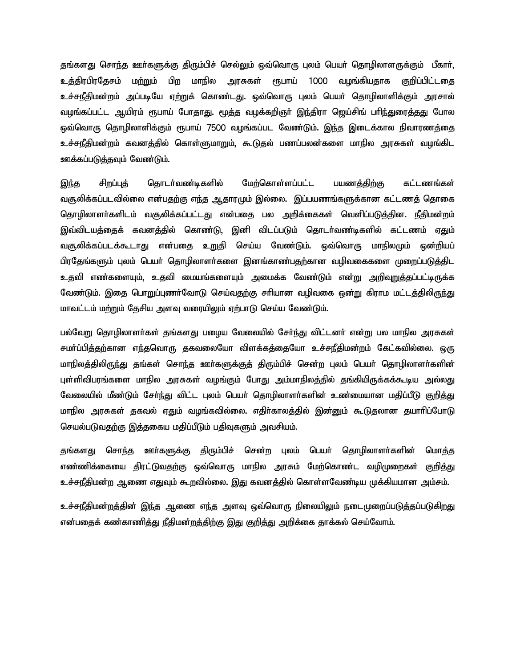தங்களது சொந்த ஊா்களுக்கு திரும்பிச் செல்லும் ஒவ்வொரு புலம் பெயா் தொழிலாளருக்கும் பீகாா். உக்கிரபிரகேசம் மற்றும் பிற மாநில அரசுகள் ரூபாய் 1000 வழங்கியதாக குறிப்பிட்டதை உச்சநீதிமன்றம் அப்படியே ஏற்றுக் கொண்டது. ஒவ்வொரு புலம் பெயர் தொழிலாளிக்கும் அரசால் வழங்கப்பட்ட ஆயிரம் ரூபாய் போதாது. மூத்த வழக்கறிஞர் இந்திரா ஜெய்சிங் பரிந்துரைத்தது போல ஒவ்வொரு தொழிலாளிக்கும் ரூபாய் 7500 வழங்கப்பட வேண்டும். இந்த இடைக்கால நிவாரணத்தை உச்சநீதிமன்றம் கவனத்தில் கொள்ளுமாறும், கூடுதல் பணப்பலன்களை மாநில அரசுகள் வழங்கிட ஊக்கப்படுத்தவும் வேண்டும்.

இந்த சிறப்புத் தொடர்வண்டிகளில் மேற்கொள்ளப்பட்ட பயணத்திற்கு கட்டணங்கள் வசூலிக்கப்படவில்லை என்பதற்கு எந்த ஆதாரமும் இல்லை. இப்பயணங்களுக்கான கட்டணத் தொகை தொழிலாளா்களிடம் வசூலிக்கப்பட்டது என்பதை பல அறிக்கைகள் வெளிப்படுத்தின. நீதிமன்றம் இவ்விடயத்தைக் கவனத்தில் கொண்டு, இனி விடப்படும் தொடர்வண்டிகளில் கட்டணம் ஏதும் வசூலிக்கப்படக்கூடாது என்பதை உறுதி செய்ய வேண்டும். ஒவ்வொரு மாநிலமும் ஒன்றியப் பிரதேங்களும் புலம் பெயர் தொழிலாளர்களை இனங்காண்பதற்கான வழிவகைகளை முறைப்படுத்திட உதவி எண்களையும், உதவி மையங்களையும் அமைக்க வேண்டும் என்று அறிவுறுத்தப்பட்டிருக்க வேண்டும். இதை பொறுப்புணர்வோடு செய்வதற்கு சரியான வழிவகை ஒன்று கிராம மட்டத்திலிருந்து மாவட்டம் மற்றும் தேசிய அளவு வரையிலும் ஏற்பாடு செய்ய வேண்டும்.

பல்வேறு தொழிலாளா்கள் தங்களது பழைய வேலையில் சோ்ந்து விட்டனா் என்று பல மாநில அரசுகள் சமர்ப்பித்தற்கான எந்தவொரு தகவலையோ விளக்கத்தையோ உச்சநீதிமன்றம் கேட்கவில்லை. ஒரு மாநிலத்திலிருந்து தங்கள் சொந்த ஊா்களுக்குத் திரும்பிச் சென்ற புலம் பெயா் தொழிலாளா்களின் புள்ளிவிபரங்களை மாநில அரசுகள் வழங்கும் போது அம்மாநிலத்தில் தங்கியிருக்கக்கூடிய அல்லது வேலையில் மீண்டும் சேர்ந்து விட்ட புலம் பெயர் தொழிலாளர்களின் உண்மையான மதிப்பீடு குறித்து மாநில அரசுகள் தகவல் ஏதும் வழங்கவில்லை. எதிர்காலத்தில் இன்னும் கூடுதலான தயாரிப்போடு செயல்படுவதற்கு இத்தகைய மதிப்பீடும் பதிவுகளும் அவசியம்.

தங்களது சொந்த ஊா்களுக்கு திரும்பிச் சென்ற புலம் பெயா் தொழிலாளா்களின் மொத்த எண்ணிக்கையை திரட்டுவதற்கு ஒவ்வொரு மாநில அரசும் மேற்கொண்ட வழிமுறைகள் குறித்து உச்சநீதிமன்ற ஆணை எதுவும் கூறவில்லை. இது கவனத்தில் கொள்ளவேண்டிய முக்கியமான அம்சம்.

உச்சநீதிமன்றத்தின் இந்த ஆணை எந்த அளவு ஒவ்வொரு நிலையிலும் நடைமுறைப்படுத்தப்படுகிறது என்பதைக் கண்காணித்து நீதிமன்றத்திற்கு இது குறித்து அறிக்கை தாக்கல் செய்வோம்.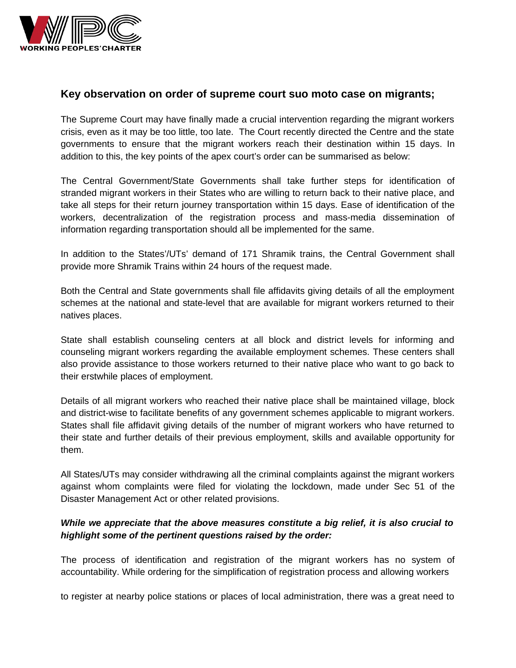

## **Key observation on order of supreme court suo moto case on migrants;**

The Supreme Court may have finally made a crucial intervention regarding the migrant workers crisis, even as it may be too little, too late. The Court recently directed the Centre and the state governments to ensure that the migrant workers reach their destination within 15 days. In addition to this, the key points of the apex court's order can be summarised as below:

The Central Government/State Governments shall take further steps for identification of stranded migrant workers in their States who are willing to return back to their native place, and take all steps for their return journey transportation within 15 days. Ease of identification of the workers, decentralization of the registration process and mass-media dissemination of information regarding transportation should all be implemented for the same.

In addition to the States'/UTs' demand of 171 Shramik trains, the Central Government shall provide more Shramik Trains within 24 hours of the request made.

Both the Central and State governments shall file affidavits giving details of all the employment schemes at the national and state-level that are available for migrant workers returned to their natives places.

State shall establish counseling centers at all block and district levels for informing and counseling migrant workers regarding the available employment schemes. These centers shall also provide assistance to those workers returned to their native place who want to go back to their erstwhile places of employment.

Details of all migrant workers who reached their native place shall be maintained village, block and district-wise to facilitate benefits of any government schemes applicable to migrant workers. States shall file affidavit giving details of the number of migrant workers who have returned to their state and further details of their previous employment, skills and available opportunity for them.

All States/UTs may consider withdrawing all the criminal complaints against the migrant workers against whom complaints were filed for violating the lockdown, made under Sec 51 of the Disaster Management Act or other related provisions.

## *While we appreciate that the above measures constitute a big relief, it is also crucial to highlight some of the pertinent questions raised by the order:*

The process of identification and registration of the migrant workers has no system of accountability. While ordering for the simplification of registration process and allowing workers

to register at nearby police stations or places of local administration, there was a great need to